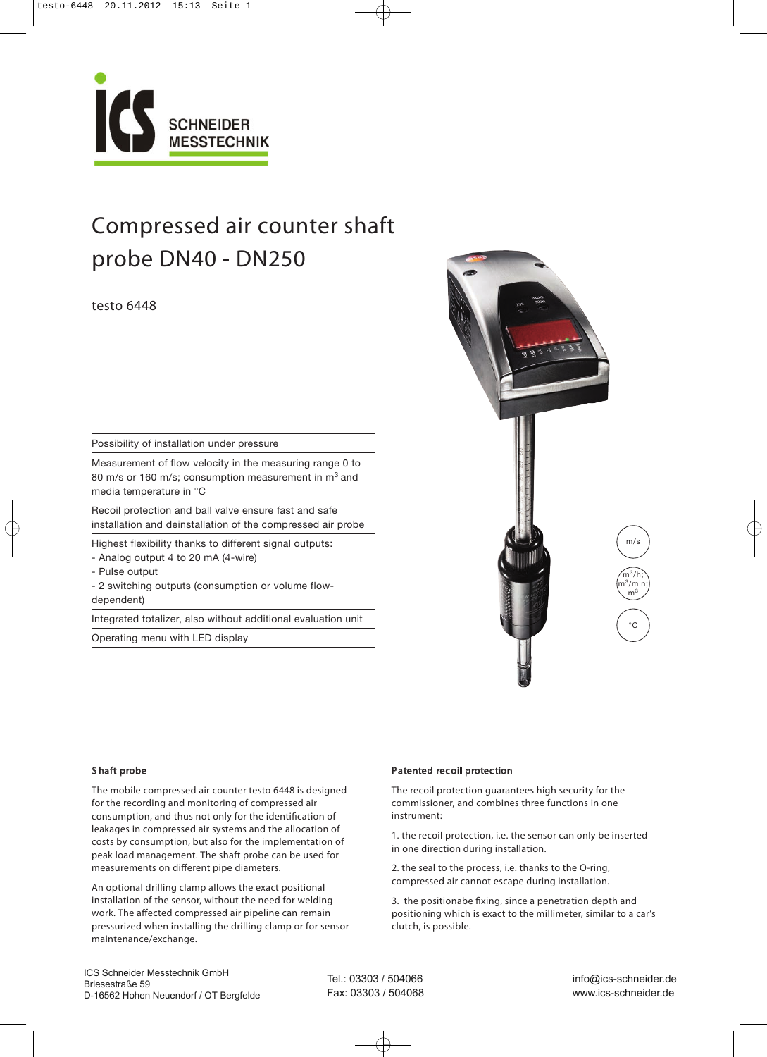

# Compressed air counter shaft probe DN40 - DN250

# testo 6448

Possibility of installation under pressure

Measurement of flow velocity in the measuring range 0 to 80 m/s or 160 m/s; consumption measurement in m<sup>3</sup> and media temperature in °C

Recoil protection and ball valve ensure fast and safe installation and deinstallation of the compressed air probe

Highest flexibility thanks to different signal outputs:

- Analog output 4 to 20 mA (4-wire)
- Pulse output
- 2 switching outputs (consumption or volume flowdependent)

Integrated totalizer, also without additional evaluation unit

Operating menu with LED display



### S haft probe

The mobile compressed air counter testo 6448 is designed for the recording and monitoring of compressed air consumption, and thus not only for the identification of leakages in compressed air systems and the allocation of costs by consumption, but also for the implementation of peak load management. The shaft probe can be used for measurements on different pipe diameters.

An optional drilling clamp allows the exact positional installation of the sensor, without the need for welding work. The affected compressed air pipeline can remain pressurized when installing the drilling clamp or for sensor maintenance/exchange.

### Patented recoil protection

The recoil protection guarantees high security for the commissioner, and combines three functions in one instrument:

1. the recoil protection, i.e. the sensor can only be inserted in one direction during installation.

2. the seal to the process, i.e. thanks to the O-ring, compressed air cannot escape during installation.

3. the positionabe fixing, since a penetration depth and positioning which is exact to the millimeter, similar to a car's clutch, is possible.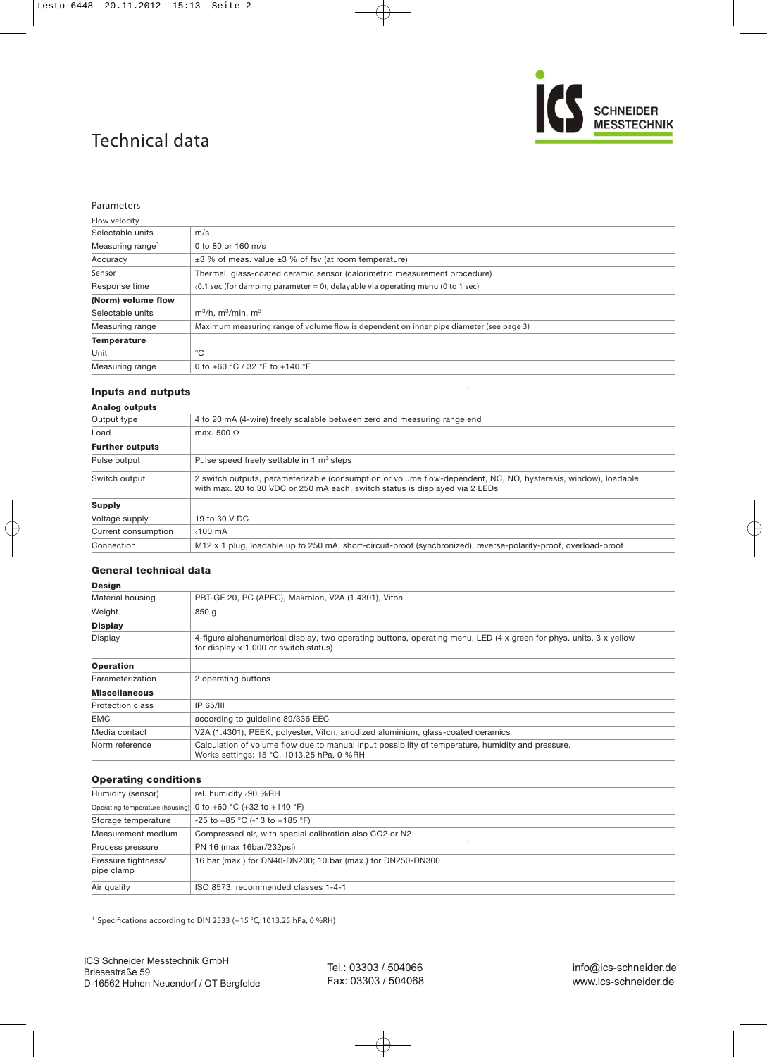# Technical data



#### Parameters

| Flow velocity                |                                                                                           |
|------------------------------|-------------------------------------------------------------------------------------------|
| Selectable units             | m/s                                                                                       |
| Measuring range <sup>1</sup> | 0 to 80 or 160 m/s                                                                        |
| Accuracy                     | $\pm 3$ % of meas. value $\pm 3$ % of fsv (at room temperature)                           |
| Sensor                       | Thermal, glass-coated ceramic sensor (calorimetric measurement procedure)                 |
| Response time                | $(0.1 \text{ sec}$ (for damping parameter = 0), delayable via operating menu (0 to 1 sec) |
| (Norm) volume flow           |                                                                                           |
| Selectable units             | $m^3/h$ . $m^3/m$ in. $m^3$                                                               |
| Measuring range <sup>1</sup> | Maximum measuring range of volume flow is dependent on inner pipe diameter (see page 3)   |
| <b>Temperature</b>           |                                                                                           |
| Unit                         | °C                                                                                        |
| Measuring range              | 0 to +60 °C / 32 °F to +140 °F                                                            |

### **Inputs and outputs**

### **Analog outputs**

| Output type            | 4 to 20 mA (4-wire) freely scalable between zero and measuring range end                                                                                                                       |
|------------------------|------------------------------------------------------------------------------------------------------------------------------------------------------------------------------------------------|
| Load                   | max. 500 $\Omega$                                                                                                                                                                              |
| <b>Further outputs</b> |                                                                                                                                                                                                |
| Pulse output           | Pulse speed freely settable in 1 $m3$ steps                                                                                                                                                    |
| Switch output          | 2 switch outputs, parameterizable (consumption or volume flow-dependent, NC, NO, hysteresis, window), loadable<br>with max. 20 to 30 VDC or 250 mA each, switch status is displayed via 2 LEDs |
| <b>Supply</b>          |                                                                                                                                                                                                |
| Voltage supply         | 19 to 30 V DC                                                                                                                                                                                  |
| Current consumption    | $\langle 100 \text{ mA}$                                                                                                                                                                       |
| Connection             | M12 x 1 plug, loadable up to 250 mA, short-circuit-proof (synchronized), reverse-polarity-proof, overload-proof                                                                                |
|                        |                                                                                                                                                                                                |

# **General technical data**

### **Design** Material housing PBT-GF 20, PC (APEC), Makrolon, V2A (1.4301), Viton Weight 850 g **Display** Display 4-figure alphanumerical display, two operating buttons, operating menu, LED (4 x green for phys. units, 3 x yellow for display x 1,000 or switch status) **Operation** Parameterization 2 operating buttons **Miscellaneous** Protection class IP 65/III EMC according to guideline 89/336 EEC Media contact V2A (1.4301), PEEK, polyester, Viton, anodized aluminium, glass-coated ceramics Norm reference Calculation of volume flow due to manual input possibility of temperature, humidity and pressure. Works settings: 15 °C, 1013.25 hPa, 0 %RH

### **Operating conditions**

| Humidity (sensor)                 | rel. humidity <90 %RH                                        |
|-----------------------------------|--------------------------------------------------------------|
|                                   | Operating temperature (housing) 0 to +60 °C (+32 to +140 °F) |
| Storage temperature               | -25 to +85 °C (-13 to +185 °F)                               |
| Measurement medium                | Compressed air, with special calibration also CO2 or N2      |
| Process pressure                  | PN 16 (max 16bar/232psi)                                     |
| Pressure tightness/<br>pipe clamp | 16 bar (max.) for DN40-DN200; 10 bar (max.) for DN250-DN300  |
| Air quality                       | ISO 8573: recommended classes 1-4-1                          |

<sup>1</sup> Specifications according to DIN 2533 (+15 °C, 1013.25 hPa, 0 %RH)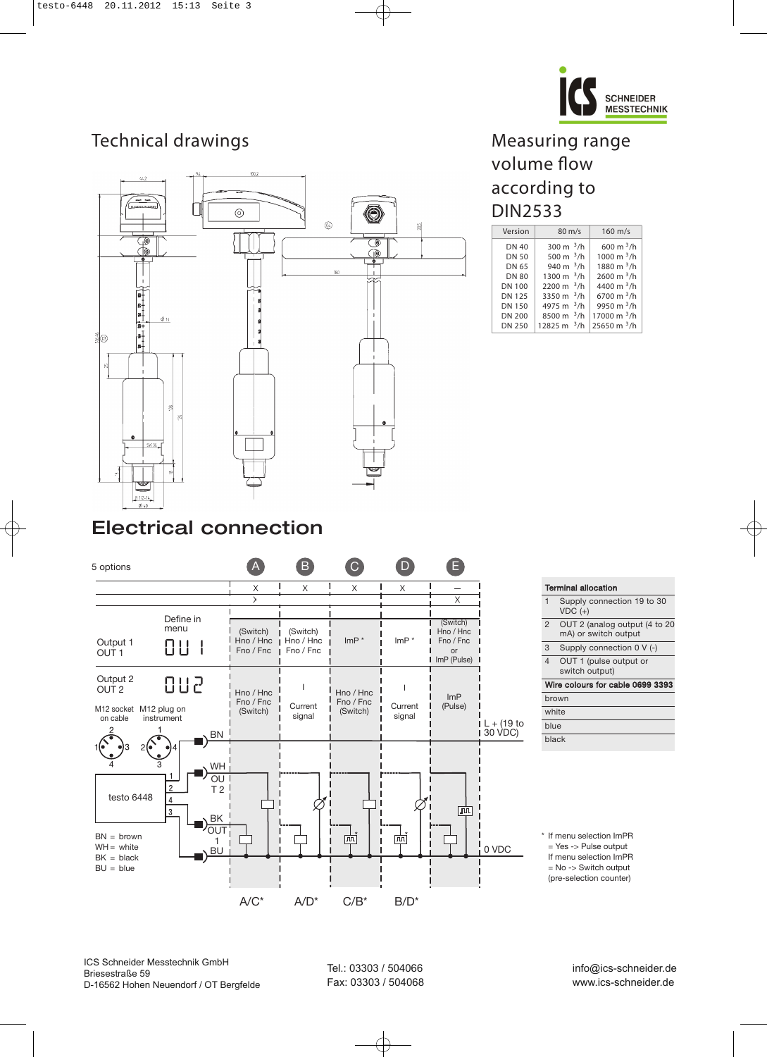

# Technical drawings



# Measuring range volume flow according to DIN2533

| Version       | $80 \text{ m/s}$ | $160$ m/s            |
|---------------|------------------|----------------------|
| <b>DN 40</b>  | 300 m $^3$ /h    | 600 m $^3$ /h        |
| DN 50         | 500 m $^3$ /h    | 1000 m $\frac{3}{h}$ |
| DN 65         | 940 m $^3$ /h    | 1880 m $3/h$         |
| <b>DN 80</b>  | 1300 m $^3$ /h   | $2600 \text{ m}^3/h$ |
| <b>DN 100</b> | 2200 m $^3$ /h   | 4400 m $^3$ /h       |
| <b>DN 125</b> | 3350 m $^3$ /h   | 6700 m $3/h$         |
| <b>DN 150</b> | 4975 m $^3$ /h   | 9950 m $^3$ /h       |
| <b>DN 200</b> | 8500 m $^3$ /h   | 17000 m $3/h$        |
| <b>DN 250</b> | 12825 m $^3$ /h  | 25650 m $3/h$        |

# Electrical connection



|                | <b>Terminal allocation</b>                             |
|----------------|--------------------------------------------------------|
| 1              | Supply connection 19 to 30<br>$VDC (+)$                |
| $\overline{2}$ | OUT 2 (analog output (4 to 20)<br>mA) or switch output |
| 3              | Supply connection 0 V (-)                              |
| $\overline{4}$ | OUT 1 (pulse output or<br>switch output)               |
|                | Wire colours for cable 0699 3393                       |
|                |                                                        |
|                | brown                                                  |
| white          |                                                        |
| blue           |                                                        |
| <b>black</b>   |                                                        |

\* If menu selection ImPR = Yes -> Pulse output If menu selection ImPR

= No -> Switch output

(pre-selection counter)